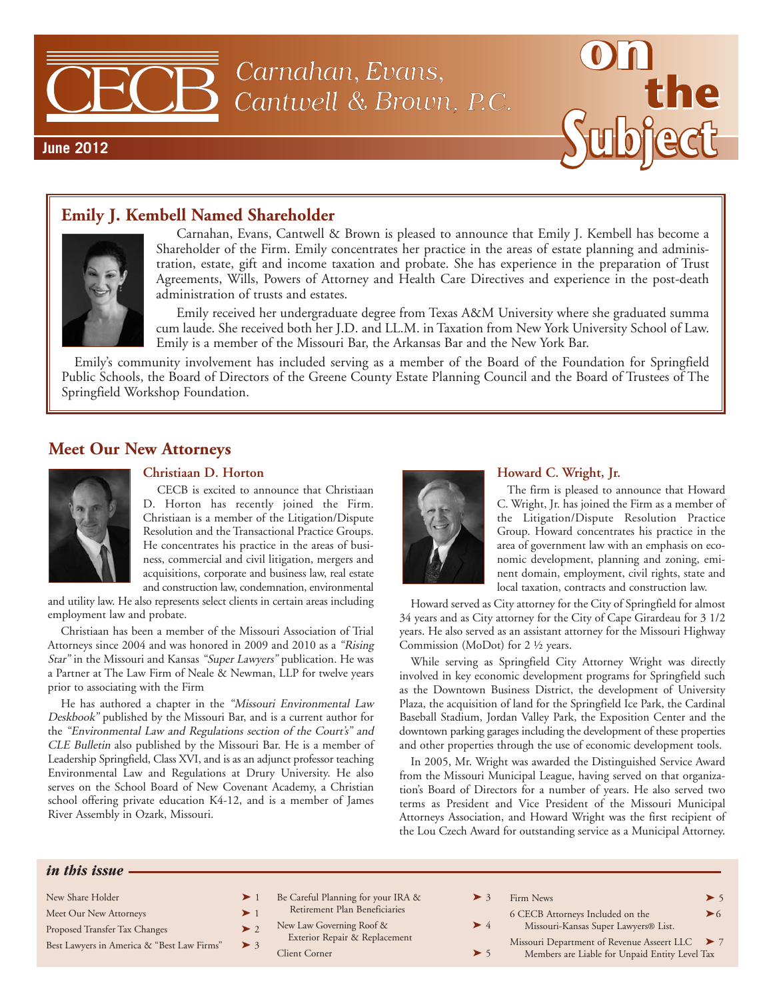

#### **Emily J. Kembell Named Shareholder**



Carnahan, Evans, Cantwell & Brown is pleased to announce that Emily J. Kembell has become a Shareholder of the Firm. Emily concentrates her practice in the areas of estate planning and administration, estate, gift and income taxation and probate. She has experience in the preparation of Trust Agreements, Wills, Powers of Attorney and Health Care Directives and experience in the post-death administration of trusts and estates.

Emily received her undergraduate degree from Texas A&M University where she graduated summa cum laude. She received both her J.D. and LL.M. in Taxation from New York University School of Law. Emily is a member of the Missouri Bar, the Arkansas Bar and the New York Bar.

Emily's community involvement has included serving as a member of the Board of the Foundation for Springfield Public Schools, the Board of Directors of the Greene County Estate Planning Council and the Board of Trustees of The Springfield Workshop Foundation.

#### **Meet Our New Attorneys**



#### **Christiaan D. Horton**

CECB is excited to announce that Christiaan D. Horton has recently joined the Firm. Christiaan is a member of the Litigation/Dispute Resolution and the Transactional Practice Groups. He concentrates his practice in the areas of business, commercial and civil litigation, mergers and acquisitions, corporate and business law, real estate and construction law, condemnation, environmental

and utility law. He also represents select clients in certain areas including employment law and probate.

Christiaan has been a member of the Missouri Association of Trial Attorneys since 2004 and was honored in 2009 and 2010 as a "Rising Star" in the Missouri and Kansas "Super Lawyers" publication. He was a Partner at The Law Firm of Neale & Newman, LLP for twelve years prior to associating with the Firm

He has authored a chapter in the "Missouri Environmental Law Deskbook" published by the Missouri Bar, and is a current author for the "Environmental Law and Regulations section of the Court's" and CLE Bulletin also published by the Missouri Bar. He is a member of Leadership Springfield, Class XVI, and is as an adjunct professor teaching Environmental Law and Regulations at Drury University. He also serves on the School Board of New Covenant Academy, a Christian school offering private education K4-12, and is a member of James River Assembly in Ozark, Missouri.



#### **Howard C. Wright, Jr.**

The firm is pleased to announce that Howard C. Wright, Jr. has joined the Firm as a member of the Litigation/Dispute Resolution Practice Group. Howard concentrates his practice in the area of government law with an emphasis on economic development, planning and zoning, eminent domain, employment, civil rights, state and local taxation, contracts and construction law.

Howard served as City attorney for the City of Springfield for almost 34 years and as City attorney for the City of Cape Girardeau for 3 1/2 years. He also served as an assistant attorney for the Missouri Highway Commission (MoDot) for 2 ½ years.

While serving as Springfield City Attorney Wright was directly involved in key economic development programs for Springfield such as the Downtown Business District, the development of University Plaza, the acquisition of land for the Springfield Ice Park, the Cardinal Baseball Stadium, Jordan Valley Park, the Exposition Center and the downtown parking garages including the development of these properties and other properties through the use of economic development tools.

In 2005, Mr. Wright was awarded the Distinguished Service Award from the Missouri Municipal League, having served on that organization's Board of Directors for a number of years. He also served two terms as President and Vice President of the Missouri Municipal Attorneys Association, and Howard Wright was the first recipient of the Lou Czech Award for outstanding service as a Municipal Attorney.

#### *in this issue*

| New Share Holder                           |          | Be Careful Planning for your IRA & |          | Firm News                                      | $\blacktriangleright$ 5 |
|--------------------------------------------|----------|------------------------------------|----------|------------------------------------------------|-------------------------|
| Meet Our New Attorneys                     |          | Retirement Plan Beneficiaries      |          | 6 CECB Attorneys Included on the               | $\blacktriangleright$ 6 |
| Proposed Transfer Tax Changes              |          | New Law Governing Roof &           | $\geq 4$ | Missouri-Kansas Super Lawyers® List.           |                         |
| Best Lawyers in America & "Best Law Firms" | $\geq$ 3 | Exterior Repair & Replacement      |          | Missouri Department of Revenue Asseert LLC > 7 |                         |
|                                            |          | <b>Client Corner</b>               |          | Members are Liable for Unpaid Entity Level Tax |                         |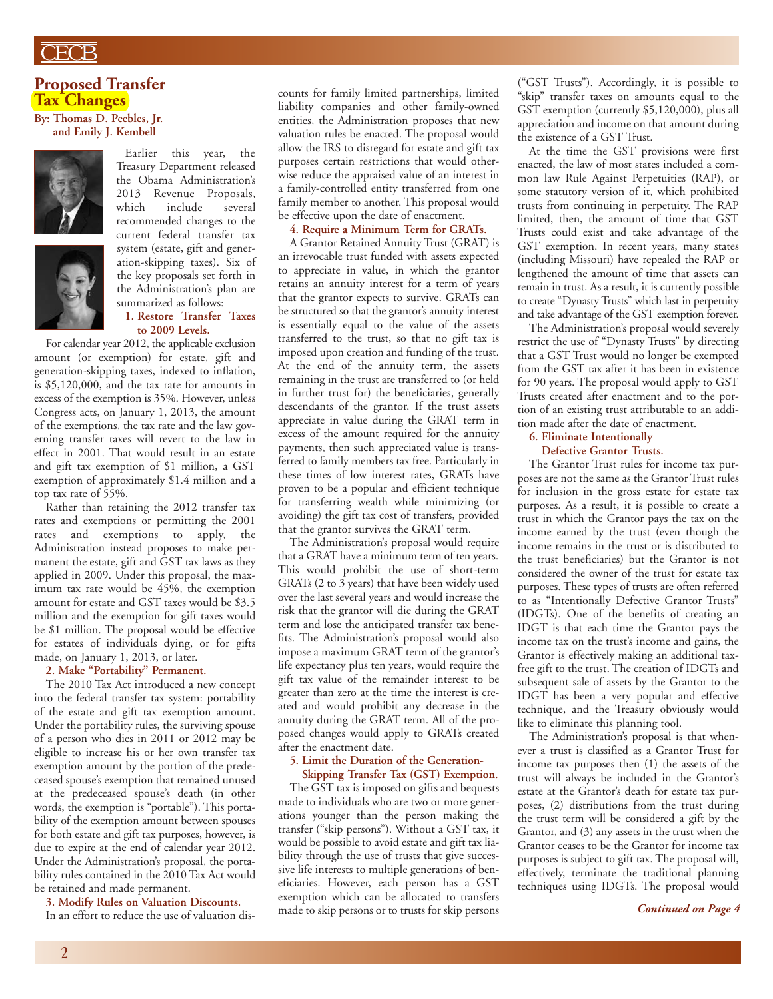#### **Proposed Transfer Tax Changes**

**By: Thomas D. Peebles, Jr. and Emily J. Kembell**





Earlier this year, the Treasury Department released the Obama Administration's 2013 Revenue Proposals,<br>which include several include recommended changes to the current federal transfer tax system (estate, gift and generation-skipping taxes). Six of the key proposals set forth in the Administration's plan are summarized as follows: **1. Restore Transfer Taxes**

# **to 2009 Levels.**

For calendar year 2012, the applicable exclusion amount (or exemption) for estate, gift and generation-skipping taxes, indexed to inflation, is \$5,120,000, and the tax rate for amounts in excess of the exemption is 35%. However, unless Congress acts, on January 1, 2013, the amount of the exemptions, the tax rate and the law governing transfer taxes will revert to the law in effect in 2001. That would result in an estate and gift tax exemption of \$1 million, a GST exemption of approximately \$1.4 million and a top tax rate of 55%.

Rather than retaining the 2012 transfer tax rates and exemptions or permitting the 2001 rates and exemptions to apply, the Administration instead proposes to make permanent the estate, gift and GST tax laws as they applied in 2009. Under this proposal, the maximum tax rate would be 45%, the exemption amount for estate and GST taxes would be \$3.5 million and the exemption for gift taxes would be \$1 million. The proposal would be effective for estates of individuals dying, or for gifts made, on January 1, 2013, or later.

#### **2. Make "Portability" Permanent.**

The 2010 Tax Act introduced a new concept into the federal transfer tax system: portability of the estate and gift tax exemption amount. Under the portability rules, the surviving spouse of a person who dies in 2011 or 2012 may be eligible to increase his or her own transfer tax exemption amount by the portion of the predeceased spouse's exemption that remained unused at the predeceased spouse's death (in other words, the exemption is "portable"). This portability of the exemption amount between spouses for both estate and gift tax purposes, however, is due to expire at the end of calendar year 2012. Under the Administration's proposal, the portability rules contained in the 2010 Tax Act would be retained and made permanent.

#### **3. Modify Rules on Valuation Discounts.**

In an effort to reduce the use of valuation dis-

counts for family limited partnerships, limited liability companies and other family-owned entities, the Administration proposes that new valuation rules be enacted. The proposal would allow the IRS to disregard for estate and gift tax purposes certain restrictions that would otherwise reduce the appraised value of an interest in a family-controlled entity transferred from one family member to another. This proposal would be effective upon the date of enactment.

#### **4. Require a Minimum Term for GRATs.**

A Grantor Retained Annuity Trust (GRAT) is an irrevocable trust funded with assets expected to appreciate in value, in which the grantor retains an annuity interest for a term of years that the grantor expects to survive. GRATs can be structured so that the grantor's annuity interest is essentially equal to the value of the assets transferred to the trust, so that no gift tax is imposed upon creation and funding of the trust. At the end of the annuity term, the assets remaining in the trust are transferred to (or held in further trust for) the beneficiaries, generally descendants of the grantor. If the trust assets appreciate in value during the GRAT term in excess of the amount required for the annuity payments, then such appreciated value is transferred to family members tax free. Particularly in these times of low interest rates, GRATs have proven to be a popular and efficient technique for transferring wealth while minimizing (or avoiding) the gift tax cost of transfers, provided that the grantor survives the GRAT term.

The Administration's proposal would require that a GRAT have a minimum term of ten years. This would prohibit the use of short-term GRATs (2 to 3 years) that have been widely used over the last several years and would increase the risk that the grantor will die during the GRAT term and lose the anticipated transfer tax benefits. The Administration's proposal would also impose a maximum GRAT term of the grantor's life expectancy plus ten years, would require the gift tax value of the remainder interest to be greater than zero at the time the interest is created and would prohibit any decrease in the annuity during the GRAT term. All of the proposed changes would apply to GRATs created after the enactment date.

#### **5. Limit the Duration of the Generation-**

**Skipping Transfer Tax (GST) Exemption.** The GST tax is imposed on gifts and bequests made to individuals who are two or more generations younger than the person making the transfer ("skip persons"). Without a GST tax, it would be possible to avoid estate and gift tax liability through the use of trusts that give successive life interests to multiple generations of beneficiaries. However, each person has a GST exemption which can be allocated to transfers made to skip persons or to trusts for skip persons ("GST Trusts"). Accordingly, it is possible to "skip" transfer taxes on amounts equal to the GST exemption (currently \$5,120,000), plus all appreciation and income on that amount during the existence of a GST Trust.

At the time the GST provisions were first enacted, the law of most states included a common law Rule Against Perpetuities (RAP), or some statutory version of it, which prohibited trusts from continuing in perpetuity. The RAP limited, then, the amount of time that GST Trusts could exist and take advantage of the GST exemption. In recent years, many states (including Missouri) have repealed the RAP or lengthened the amount of time that assets can remain in trust. As a result, it is currently possible to create "Dynasty Trusts" which last in perpetuity and take advantage of the GST exemption forever.

The Administration's proposal would severely restrict the use of "Dynasty Trusts" by directing that a GST Trust would no longer be exempted from the GST tax after it has been in existence for 90 years. The proposal would apply to GST Trusts created after enactment and to the portion of an existing trust attributable to an addition made after the date of enactment.

#### **6. Eliminate Intentionally**

**Defective Grantor Trusts.** The Grantor Trust rules for income tax purposes are not the same as the Grantor Trust rules for inclusion in the gross estate for estate tax purposes. As a result, it is possible to create a trust in which the Grantor pays the tax on the income earned by the trust (even though the income remains in the trust or is distributed to the trust beneficiaries) but the Grantor is not considered the owner of the trust for estate tax purposes. These types of trusts are often referred to as "Intentionally Defective Grantor Trusts" (IDGTs). One of the benefits of creating an IDGT is that each time the Grantor pays the income tax on the trust's income and gains, the Grantor is effectively making an additional taxfree gift to the trust. The creation of IDGTs and subsequent sale of assets by the Grantor to the IDGT has been a very popular and effective technique, and the Treasury obviously would

like to eliminate this planning tool. The Administration's proposal is that whenever a trust is classified as a Grantor Trust for income tax purposes then (1) the assets of the trust will always be included in the Grantor's estate at the Grantor's death for estate tax purposes, (2) distributions from the trust during the trust term will be considered a gift by the Grantor, and (3) any assets in the trust when the Grantor ceases to be the Grantor for income tax purposes is subject to gift tax. The proposal will, effectively, terminate the traditional planning techniques using IDGTs. The proposal would

*Continued on Page 4*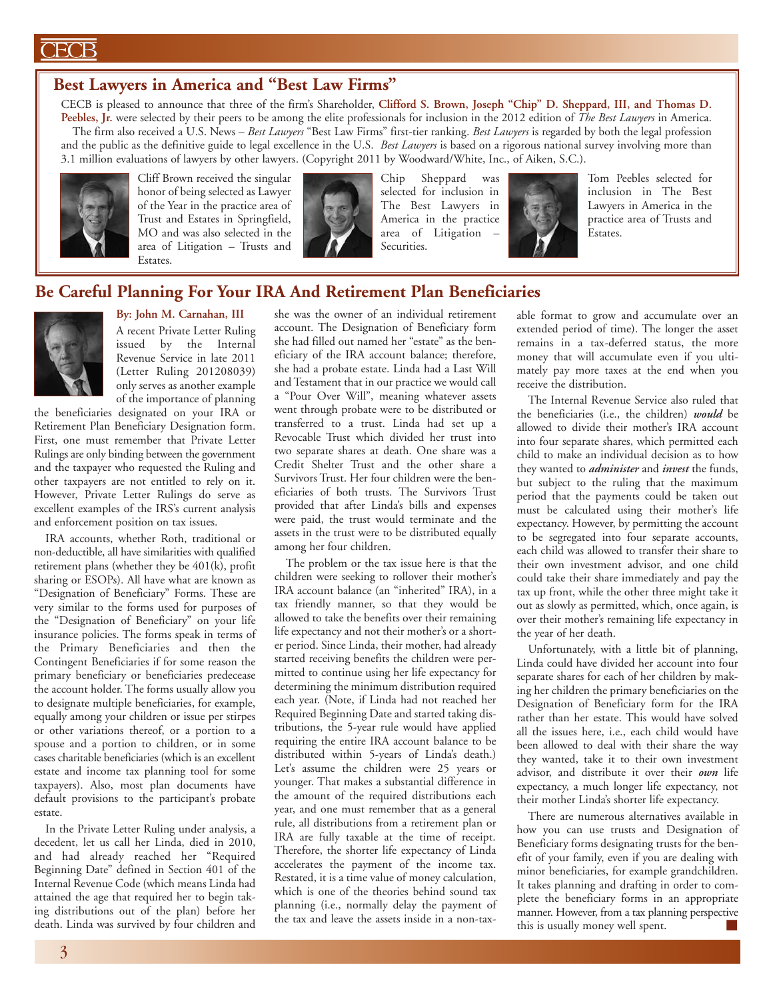#### ECB

#### **Best Lawyers in America and "Best Law Firms"**

CECB is pleased to announce that three of the firm's Shareholder, **Clifford S. Brown, Joseph "Chip" D. Sheppard, III, and Thomas D. Peebles, Jr.** were selected by their peers to be among the elite professionals for inclusion in the 2012 edition of *The Best Lawyers* in America. The firm also received a U.S. News – *Best Lawyers* "Best Law Firms" first-tier ranking. *Best Lawyers* is regarded by both the legal profession and the public as the definitive guide to legal excellence in the U.S. *Best Lawyers* is based on a rigorous national survey involving more than 3.1 million evaluations of lawyers by other lawyers. (Copyright 2011 by Woodward/White, Inc., of Aiken, S.C.).



Cliff Brown received the singular honor of being selected as Lawyer of the Year in the practice area of Trust and Estates in Springfield, MO and was also selected in the area of Litigation – Trusts and Estates.



Chip Sheppard was selected for inclusion in The Best Lawyers in America in the practice area of Litigation – Securities.



Tom Peebles selected for inclusion in The Best Lawyers in America in the practice area of Trusts and Estates.

#### **Be Careful Planning For Your IRA And Retirement Plan Beneficiaries**

#### **By: John M. Carnahan, III** A recent Private Letter Ruling

issued by the Internal Revenue Service in late 2011 (Letter Ruling 201208039) only serves as another example of the importance of planning

the beneficiaries designated on your IRA or Retirement Plan Beneficiary Designation form. First, one must remember that Private Letter Rulings are only binding between the government and the taxpayer who requested the Ruling and other taxpayers are not entitled to rely on it. However, Private Letter Rulings do serve as excellent examples of the IRS's current analysis and enforcement position on tax issues.

IRA accounts, whether Roth, traditional or non-deductible, all have similarities with qualified retirement plans (whether they be 401(k), profit sharing or ESOPs). All have what are known as "Designation of Beneficiary" Forms. These are very similar to the forms used for purposes of the "Designation of Beneficiary" on your life insurance policies. The forms speak in terms of the Primary Beneficiaries and then the Contingent Beneficiaries if for some reason the primary beneficiary or beneficiaries predecease the account holder. The forms usually allow you to designate multiple beneficiaries, for example, equally among your children or issue per stirpes or other variations thereof, or a portion to a spouse and a portion to children, or in some cases charitable beneficiaries (which is an excellent estate and income tax planning tool for some taxpayers). Also, most plan documents have default provisions to the participant's probate estate.

In the Private Letter Ruling under analysis, a decedent, let us call her Linda, died in 2010, and had already reached her "Required Beginning Date" defined in Section 401 of the Internal Revenue Code (which means Linda had attained the age that required her to begin taking distributions out of the plan) before her death. Linda was survived by four children and

she was the owner of an individual retirement account. The Designation of Beneficiary form she had filled out named her "estate" as the beneficiary of the IRA account balance; therefore, she had a probate estate. Linda had a Last Will and Testament that in our practice we would call a "Pour Over Will", meaning whatever assets went through probate were to be distributed or transferred to a trust. Linda had set up a Revocable Trust which divided her trust into two separate shares at death. One share was a Credit Shelter Trust and the other share a Survivors Trust. Her four children were the beneficiaries of both trusts. The Survivors Trust provided that after Linda's bills and expenses were paid, the trust would terminate and the assets in the trust were to be distributed equally among her four children.

The problem or the tax issue here is that the children were seeking to rollover their mother's IRA account balance (an "inherited" IRA), in a tax friendly manner, so that they would be allowed to take the benefits over their remaining life expectancy and not their mother's or a shorter period. Since Linda, their mother, had already started receiving benefits the children were permitted to continue using her life expectancy for determining the minimum distribution required each year. (Note, if Linda had not reached her Required Beginning Date and started taking distributions, the 5-year rule would have applied requiring the entire IRA account balance to be distributed within 5-years of Linda's death.) Let's assume the children were 25 years or younger. That makes a substantial difference in the amount of the required distributions each year, and one must remember that as a general rule, all distributions from a retirement plan or IRA are fully taxable at the time of receipt. Therefore, the shorter life expectancy of Linda accelerates the payment of the income tax. Restated, it is a time value of money calculation, which is one of the theories behind sound tax planning (i.e., normally delay the payment of the tax and leave the assets inside in a non-tax-

able format to grow and accumulate over an extended period of time). The longer the asset remains in a tax-deferred status, the more money that will accumulate even if you ultimately pay more taxes at the end when you receive the distribution.

The Internal Revenue Service also ruled that the beneficiaries (i.e., the children) *would* be allowed to divide their mother's IRA account into four separate shares, which permitted each child to make an individual decision as to how they wanted to *administer* and *invest* the funds, but subject to the ruling that the maximum period that the payments could be taken out must be calculated using their mother's life expectancy. However, by permitting the account to be segregated into four separate accounts, each child was allowed to transfer their share to their own investment advisor, and one child could take their share immediately and pay the tax up front, while the other three might take it out as slowly as permitted, which, once again, is over their mother's remaining life expectancy in the year of her death.

Unfortunately, with a little bit of planning, Linda could have divided her account into four separate shares for each of her children by making her children the primary beneficiaries on the Designation of Beneficiary form for the IRA rather than her estate. This would have solved all the issues here, i.e., each child would have been allowed to deal with their share the way they wanted, take it to their own investment advisor, and distribute it over their *own* life expectancy, a much longer life expectancy, not their mother Linda's shorter life expectancy.

There are numerous alternatives available in how you can use trusts and Designation of Beneficiary forms designating trusts for the benefit of your family, even if you are dealing with minor beneficiaries, for example grandchildren. It takes planning and drafting in order to complete the beneficiary forms in an appropriate manner. However, from a tax planning perspective this is usually money well spent.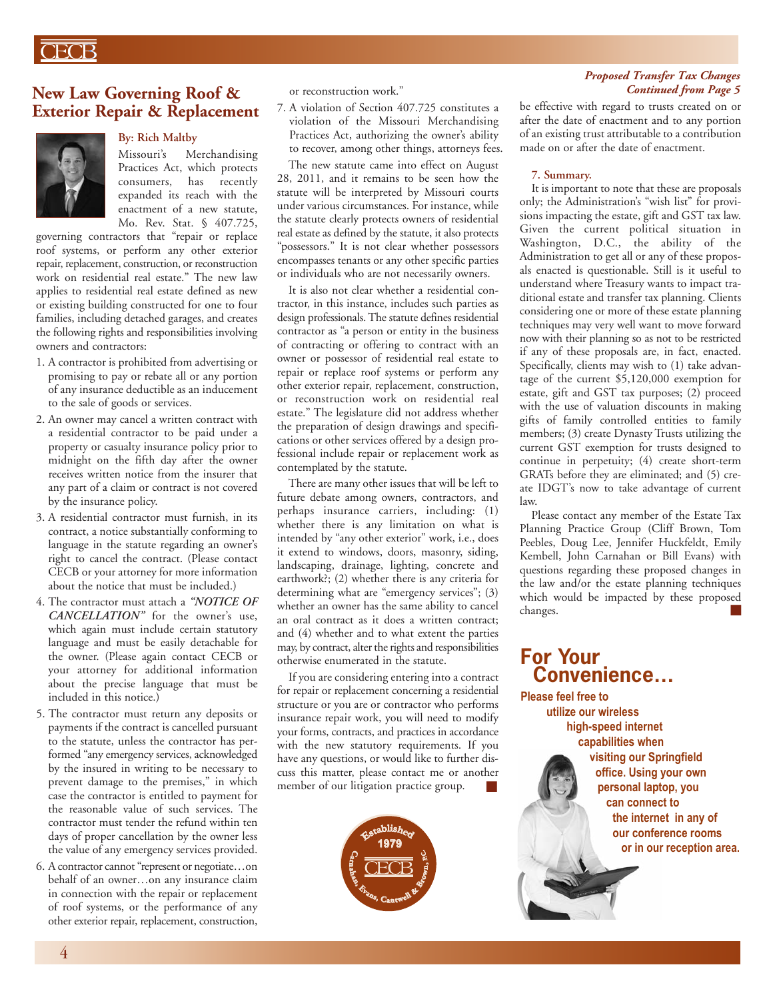# ECB

#### **New Law Governing Roof & Exterior Repair & Replacement**



#### **By: Rich Maltby**

Missouri's Merchandising Practices Act, which protects consumers, has recently expanded its reach with the enactment of a new statute, Mo. Rev. Stat. § 407.725,

governing contractors that "repair or replace roof systems, or perform any other exterior repair, replacement, construction, or reconstruction work on residential real estate." The new law applies to residential real estate defined as new or existing building constructed for one to four families, including detached garages, and creates the following rights and responsibilities involving owners and contractors:

- 1. A contractor is prohibited from advertising or promising to pay or rebate all or any portion of any insurance deductible as an inducement to the sale of goods or services.
- 2. An owner may cancel a written contract with a residential contractor to be paid under a property or casualty insurance policy prior to midnight on the fifth day after the owner receives written notice from the insurer that any part of a claim or contract is not covered by the insurance policy.
- 3. A residential contractor must furnish, in its contract, a notice substantially conforming to language in the statute regarding an owner's right to cancel the contract. (Please contact CECB or your attorney for more information about the notice that must be included.)
- 4. The contractor must attach a *"NOTICE OF CANCELLATION"* for the owner's use, which again must include certain statutory language and must be easily detachable for the owner. (Please again contact CECB or your attorney for additional information about the precise language that must be included in this notice.)
- 5. The contractor must return any deposits or payments if the contract is cancelled pursuant to the statute, unless the contractor has performed "any emergency services, acknowledged by the insured in writing to be necessary to prevent damage to the premises," in which case the contractor is entitled to payment for the reasonable value of such services. The contractor must tender the refund within ten days of proper cancellation by the owner less the value of any emergency services provided.
- 6. A contractor cannot "represent or negotiate…on behalf of an owner…on any insurance claim in connection with the repair or replacement of roof systems, or the performance of any other exterior repair, replacement, construction,

or reconstruction work."

7. A violation of Section 407.725 constitutes a violation of the Missouri Merchandising Practices Act, authorizing the owner's ability to recover, among other things, attorneys fees.

The new statute came into effect on August 28, 2011, and it remains to be seen how the statute will be interpreted by Missouri courts under various circumstances. For instance, while the statute clearly protects owners of residential real estate as defined by the statute, it also protects "possessors." It is not clear whether possessors encompasses tenants or any other specific parties or individuals who are not necessarily owners.

It is also not clear whether a residential contractor, in this instance, includes such parties as design professionals. The statute defines residential contractor as "a person or entity in the business of contracting or offering to contract with an owner or possessor of residential real estate to repair or replace roof systems or perform any other exterior repair, replacement, construction, or reconstruction work on residential real estate." The legislature did not address whether the preparation of design drawings and specifications or other services offered by a design professional include repair or replacement work as contemplated by the statute.

There are many other issues that will be left to future debate among owners, contractors, and perhaps insurance carriers, including: (1) whether there is any limitation on what is intended by "any other exterior" work, i.e., does it extend to windows, doors, masonry, siding, landscaping, drainage, lighting, concrete and earthwork?; (2) whether there is any criteria for determining what are "emergency services"; (3) whether an owner has the same ability to cancel an oral contract as it does a written contract; and (4) whether and to what extent the parties may, by contract, alter the rights and responsibilities otherwise enumerated in the statute.

If you are considering entering into a contract for repair or replacement concerning a residential structure or you are or contractor who performs insurance repair work, you will need to modify your forms, contracts, and practices in accordance with the new statutory requirements. If you have any questions, or would like to further discuss this matter, please contact me or another member of our litigation practice group. ■



#### *Proposed Transfer Tax Changes Continued from Page 5*

be effective with regard to trusts created on or after the date of enactment and to any portion of an existing trust attributable to a contribution made on or after the date of enactment.

#### **7. Summary.**

It is important to note that these are proposals only; the Administration's "wish list" for provisions impacting the estate, gift and GST tax law. Given the current political situation in Washington, D.C., the ability of the Administration to get all or any of these proposals enacted is questionable. Still is it useful to understand where Treasury wants to impact traditional estate and transfer tax planning. Clients considering one or more of these estate planning techniques may very well want to move forward now with their planning so as not to be restricted if any of these proposals are, in fact, enacted. Specifically, clients may wish to (1) take advantage of the current \$5,120,000 exemption for estate, gift and GST tax purposes; (2) proceed with the use of valuation discounts in making gifts of family controlled entities to family members; (3) create Dynasty Trusts utilizing the current GST exemption for trusts designed to continue in perpetuity; (4) create short-term GRATs before they are eliminated; and (5) create IDGT's now to take advantage of current law.

■ Please contact any member of the Estate Tax Planning Practice Group (Cliff Brown, Tom Peebles, Doug Lee, Jennifer Huckfeldt, Emily Kembell, John Carnahan or Bill Evans) with questions regarding these proposed changes in the law and/or the estate planning techniques which would be impacted by these proposed changes.

## **For Your Convenience…**

**Please feel free to utilize our wireless high-speed internet capabilities when visiting our Springfield office. Using your own personal laptop, you can connect to the internet in any of our conference rooms or in our reception area.**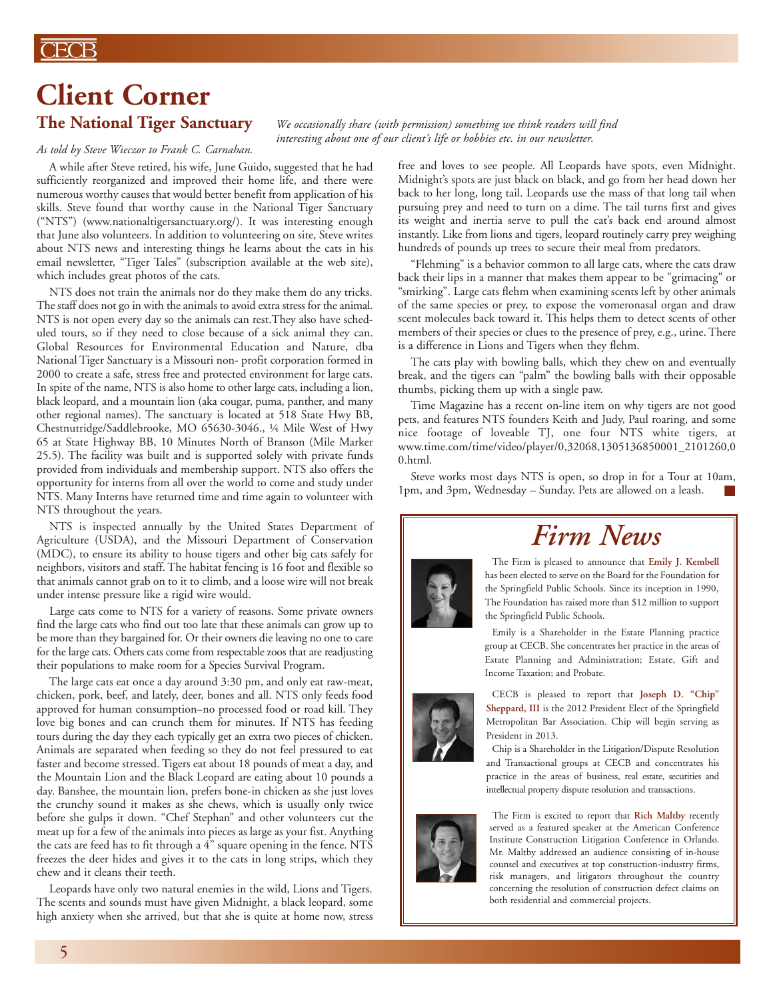### **CECB**

# **Client Corner**

# **The National Tiger Sanctuary**

#### *As told by Steve Wieczor to Frank C. Carnahan.*

A while after Steve retired, his wife, June Guido, suggested that he had sufficiently reorganized and improved their home life, and there were numerous worthy causes that would better benefit from application of his skills. Steve found that worthy cause in the National Tiger Sanctuary ("NTS") (www.nationaltigersanctuary.org/). It was interesting enough that June also volunteers. In addition to volunteering on site, Steve writes about NTS news and interesting things he learns about the cats in his email newsletter, "Tiger Tales" (subscription available at the web site), which includes great photos of the cats.

NTS does not train the animals nor do they make them do any tricks. The staff does not go in with the animals to avoid extra stress for the animal. NTS is not open every day so the animals can rest.They also have scheduled tours, so if they need to close because of a sick animal they can. Global Resources for Environmental Education and Nature, dba National Tiger Sanctuary is a Missouri non- profit corporation formed in 2000 to create a safe, stress free and protected environment for large cats. In spite of the name, NTS is also home to other large cats, including a lion, black leopard, and a mountain lion (aka cougar, puma, panther, and many other regional names). The sanctuary is located at 518 State Hwy BB, Chestnutridge/Saddlebrooke, MO 65630-3046., ¼ Mile West of Hwy 65 at State Highway BB, 10 Minutes North of Branson (Mile Marker 25.5). The facility was built and is supported solely with private funds provided from individuals and membership support. NTS also offers the opportunity for interns from all over the world to come and study under NTS. Many Interns have returned time and time again to volunteer with NTS throughout the years.

NTS is inspected annually by the United States Department of Agriculture (USDA), and the Missouri Department of Conservation (MDC), to ensure its ability to house tigers and other big cats safely for neighbors, visitors and staff. The habitat fencing is 16 foot and flexible so that animals cannot grab on to it to climb, and a loose wire will not break under intense pressure like a rigid wire would.

Large cats come to NTS for a variety of reasons. Some private owners find the large cats who find out too late that these animals can grow up to be more than they bargained for. Or their owners die leaving no one to care for the large cats. Others cats come from respectable zoos that are readjusting their populations to make room for a Species Survival Program.

The large cats eat once a day around 3:30 pm, and only eat raw-meat, chicken, pork, beef, and lately, deer, bones and all. NTS only feeds food approved for human consumption–no processed food or road kill. They love big bones and can crunch them for minutes. If NTS has feeding tours during the day they each typically get an extra two pieces of chicken. Animals are separated when feeding so they do not feel pressured to eat faster and become stressed. Tigers eat about 18 pounds of meat a day, and the Mountain Lion and the Black Leopard are eating about 10 pounds a day. Banshee, the mountain lion, prefers bone-in chicken as she just loves the crunchy sound it makes as she chews, which is usually only twice before she gulps it down. "Chef Stephan" and other volunteers cut the meat up for a few of the animals into pieces as large as your fist. Anything the cats are feed has to fit through a 4" square opening in the fence. NTS freezes the deer hides and gives it to the cats in long strips, which they chew and it cleans their teeth.

Leopards have only two natural enemies in the wild, Lions and Tigers. The scents and sounds must have given Midnight, a black leopard, some high anxiety when she arrived, but that she is quite at home now, stress

*We occasionally share (with permission) something we think readers will find interesting about one of our client's life or hobbies etc. in our newsletter.*

> free and loves to see people. All Leopards have spots, even Midnight. Midnight's spots are just black on black, and go from her head down her back to her long, long tail. Leopards use the mass of that long tail when pursuing prey and need to turn on a dime. The tail turns first and gives its weight and inertia serve to pull the cat's back end around almost instantly. Like from lions and tigers, leopard routinely carry prey weighing hundreds of pounds up trees to secure their meal from predators.

> "Flehming" is a behavior common to all large cats, where the cats draw back their lips in a manner that makes them appear to be "grimacing" or "smirking". Large cats flehm when examining scents left by other animals of the same species or prey, to expose the vomeronasal organ and draw scent molecules back toward it. This helps them to detect scents of other members of their species or clues to the presence of prey, e.g., urine. There is a difference in Lions and Tigers when they flehm.

> The cats play with bowling balls, which they chew on and eventually break, and the tigers can "palm" the bowling balls with their opposable thumbs, picking them up with a single paw.

> Time Magazine has a recent on-line item on why tigers are not good pets, and features NTS founders Keith and Judy, Paul roaring, and some nice footage of loveable TJ, one four NTS white tigers, at www.time.com/time/video/player/0,32068,1305136850001\_2101260,0 0.html.

> Steve works most days NTS is open, so drop in for a Tour at 10am, 1pm, and 3pm, Wednesday – Sunday. Pets are allowed on a leash. ■



# *Firm News*

The Firm is pleased to announce that **Emily J. Kembell** has been elected to serve on the Board for the Foundation for the Springfield Public Schools. Since its inception in 1990, The Foundation has raised more than \$12 million to support the Springfield Public Schools.

Emily is a Shareholder in the Estate Planning practice group at CECB. She concentrates her practice in the areas of Estate Planning and Administration; Estate, Gift and Income Taxation; and Probate.



CECB is pleased to report that **Joseph D. "Chip" Sheppard, III** is the 2012 President Elect of the Springfield Metropolitan Bar Association. Chip will begin serving as President in 2013.

Chip is a Shareholder in the Litigation/Dispute Resolution and Transactional groups at CECB and concentrates his practice in the areas of business, real estate, securities and intellectual property dispute resolution and transactions.



The Firm is excited to report that **Rich Maltby** recently served as a featured speaker at the American Conference Institute Construction Litigation Conference in Orlando. Mr. Maltby addressed an audience consisting of in-house counsel and executives at top construction-industry firms, risk managers, and litigators throughout the country concerning the resolution of construction defect claims on both residential and commercial projects.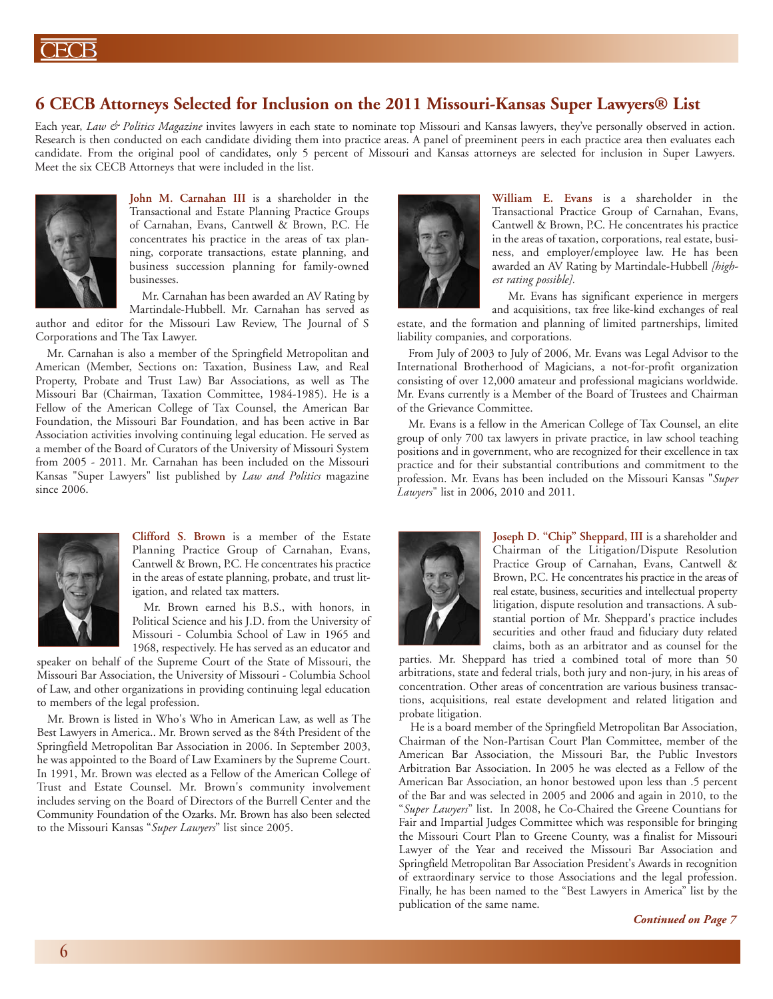#### **6 CECB Attorneys Selected for Inclusion on the 2011 Missouri-Kansas Super Lawyers® List**

Each year, *Law & Politics Magazine* invites lawyers in each state to nominate top Missouri and Kansas lawyers, they've personally observed in action. Research is then conducted on each candidate dividing them into practice areas. A panel of preeminent peers in each practice area then evaluates each candidate. From the original pool of candidates, only 5 percent of Missouri and Kansas attorneys are selected for inclusion in Super Lawyers. Meet the six CECB Attorneys that were included in the list.



**John M. Carnahan III** is a shareholder in the Transactional and Estate Planning Practice Groups of Carnahan, Evans, Cantwell & Brown, P.C. He concentrates his practice in the areas of tax planning, corporate transactions, estate planning, and business succession planning for family-owned businesses.

Mr. Carnahan has been awarded an AV Rating by Martindale-Hubbell. Mr. Carnahan has served as

author and editor for the Missouri Law Review, The Journal of S Corporations and The Tax Lawyer.

Mr. Carnahan is also a member of the Springfield Metropolitan and American (Member, Sections on: Taxation, Business Law, and Real Property, Probate and Trust Law) Bar Associations, as well as The Missouri Bar (Chairman, Taxation Committee, 1984-1985). He is a Fellow of the American College of Tax Counsel, the American Bar Foundation, the Missouri Bar Foundation, and has been active in Bar Association activities involving continuing legal education. He served as a member of the Board of Curators of the University of Missouri System from 2005 - 2011. Mr. Carnahan has been included on the Missouri Kansas "Super Lawyers" list published by *Law and Politics* magazine since 2006.



**Clifford S. Brown** is a member of the Estate Planning Practice Group of Carnahan, Evans, Cantwell & Brown, P.C. He concentrates his practice in the areas of estate planning, probate, and trust litigation, and related tax matters.

Mr. Brown earned his B.S., with honors, in Political Science and his J.D. from the University of Missouri - Columbia School of Law in 1965 and 1968, respectively. He has served as an educator and

speaker on behalf of the Supreme Court of the State of Missouri, the Missouri Bar Association, the University of Missouri - Columbia School of Law, and other organizations in providing continuing legal education to members of the legal profession.

Mr. Brown is listed in Who's Who in American Law, as well as The Best Lawyers in America.. Mr. Brown served as the 84th President of the Springfield Metropolitan Bar Association in 2006. In September 2003, he was appointed to the Board of Law Examiners by the Supreme Court. In 1991, Mr. Brown was elected as a Fellow of the American College of Trust and Estate Counsel. Mr. Brown's community involvement includes serving on the Board of Directors of the Burrell Center and the Community Foundation of the Ozarks. Mr. Brown has also been selected to the Missouri Kansas "*Super Lawyers*" list since 2005.



**William E. Evans** is a shareholder in the Transactional Practice Group of Carnahan, Evans, Cantwell & Brown, P.C. He concentrates his practice in the areas of taxation, corporations, real estate, business, and employer/employee law. He has been awarded an AV Rating by Martindale-Hubbell *[highest rating possible].*

Mr. Evans has significant experience in mergers and acquisitions, tax free like-kind exchanges of real

estate, and the formation and planning of limited partnerships, limited liability companies, and corporations.

From July of 2003 to July of 2006, Mr. Evans was Legal Advisor to the International Brotherhood of Magicians, a not-for-profit organization consisting of over 12,000 amateur and professional magicians worldwide. Mr. Evans currently is a Member of the Board of Trustees and Chairman of the Grievance Committee.

Mr. Evans is a fellow in the American College of Tax Counsel, an elite group of only 700 tax lawyers in private practice, in law school teaching positions and in government, who are recognized for their excellence in tax practice and for their substantial contributions and commitment to the profession. Mr. Evans has been included on the Missouri Kansas "*Super Lawyers*" list in 2006, 2010 and 2011.



**Joseph D. "Chip" Sheppard, III** is a shareholder and Chairman of the Litigation/Dispute Resolution Practice Group of Carnahan, Evans, Cantwell & Brown, P.C. He concentrates his practice in the areas of real estate, business, securities and intellectual property litigation, dispute resolution and transactions. A substantial portion of Mr. Sheppard's practice includes securities and other fraud and fiduciary duty related claims, both as an arbitrator and as counsel for the

parties. Mr. Sheppard has tried a combined total of more than 50 arbitrations, state and federal trials, both jury and non-jury, in his areas of concentration. Other areas of concentration are various business transactions, acquisitions, real estate development and related litigation and probate litigation.

He is a board member of the Springfield Metropolitan Bar Association, Chairman of the Non-Partisan Court Plan Committee, member of the American Bar Association, the Missouri Bar, the Public Investors Arbitration Bar Association. In 2005 he was elected as a Fellow of the American Bar Association, an honor bestowed upon less than .5 percent of the Bar and was selected in 2005 and 2006 and again in 2010, to the "*Super Lawyers*" list. In 2008, he Co-Chaired the Greene Countians for Fair and Impartial Judges Committee which was responsible for bringing the Missouri Court Plan to Greene County, was a finalist for Missouri Lawyer of the Year and received the Missouri Bar Association and Springfield Metropolitan Bar Association President's Awards in recognition of extraordinary service to those Associations and the legal profession. Finally, he has been named to the "Best Lawyers in America" list by the publication of the same name.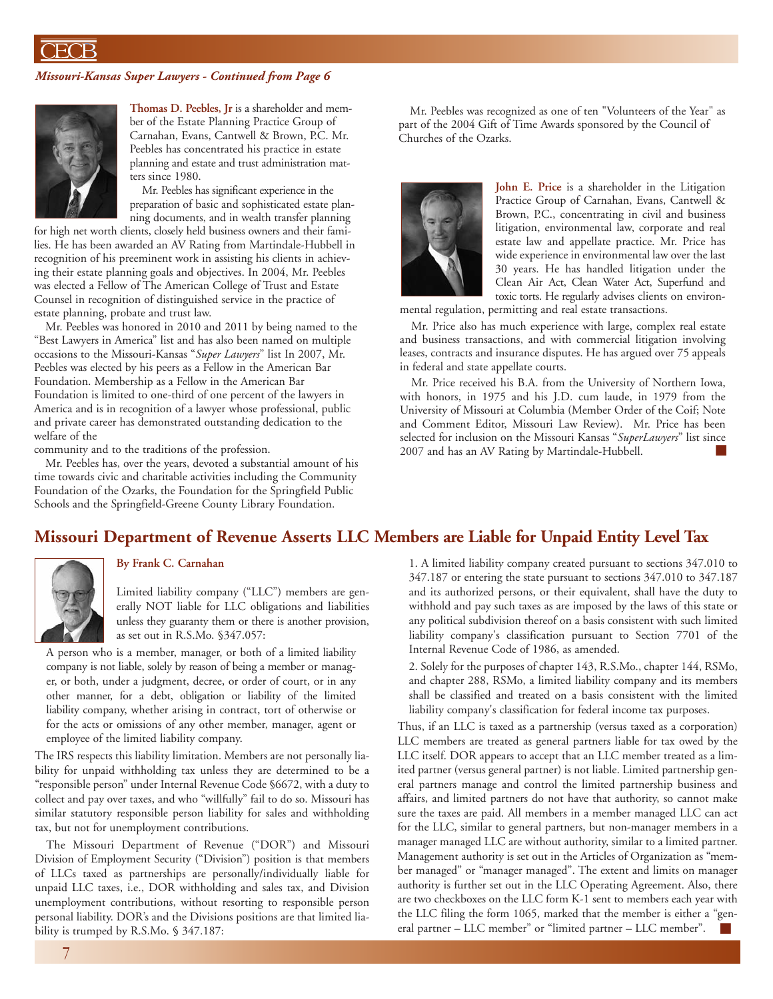ECB

#### *Missouri-Kansas Super Lawyers - Continued from Page 6*



**Thomas D. Peebles, Jr** is a shareholder and member of the Estate Planning Practice Group of Carnahan, Evans, Cantwell & Brown, P.C. Mr. Peebles has concentrated his practice in estate planning and estate and trust administration matters since 1980.

Mr. Peebles has significant experience in the preparation of basic and sophisticated estate planning documents, and in wealth transfer planning

for high net worth clients, closely held business owners and their families. He has been awarded an AV Rating from Martindale-Hubbell in recognition of his preeminent work in assisting his clients in achieving their estate planning goals and objectives. In 2004, Mr. Peebles was elected a Fellow of The American College of Trust and Estate Counsel in recognition of distinguished service in the practice of estate planning, probate and trust law.

Mr. Peebles was honored in 2010 and 2011 by being named to the "Best Lawyers in America" list and has also been named on multiple occasions to the Missouri-Kansas "*Super Lawyers*" list In 2007, Mr. Peebles was elected by his peers as a Fellow in the American Bar Foundation. Membership as a Fellow in the American Bar Foundation is limited to one-third of one percent of the lawyers in America and is in recognition of a lawyer whose professional, public and private career has demonstrated outstanding dedication to the welfare of the

community and to the traditions of the profession.

Mr. Peebles has, over the years, devoted a substantial amount of his time towards civic and charitable activities including the Community Foundation of the Ozarks, the Foundation for the Springfield Public Schools and the Springfield-Greene County Library Foundation.

Mr. Peebles was recognized as one of ten "Volunteers of the Year" as part of the 2004 Gift of Time Awards sponsored by the Council of Churches of the Ozarks.



**John E. Price** is a shareholder in the Litigation Practice Group of Carnahan, Evans, Cantwell & Brown, P.C., concentrating in civil and business litigation, environmental law, corporate and real estate law and appellate practice. Mr. Price has wide experience in environmental law over the last 30 years. He has handled litigation under the Clean Air Act, Clean Water Act, Superfund and toxic torts. He regularly advises clients on environ-

mental regulation, permitting and real estate transactions.

Mr. Price also has much experience with large, complex real estate and business transactions, and with commercial litigation involving leases, contracts and insurance disputes. He has argued over 75 appeals in federal and state appellate courts.

Mr. Price received his B.A. from the University of Northern Iowa, with honors, in 1975 and his J.D. cum laude, in 1979 from the University of Missouri at Columbia (Member Order of the Coif; Note and Comment Editor, Missouri Law Review). Mr. Price has been selected for inclusion on the Missouri Kansas "*SuperLawyers*" list since 2007 and has an AV Rating by Martindale-Hubbell. ■

#### **Missouri Department of Revenue Asserts LLC Members are Liable for Unpaid Entity Level Tax**



#### **By Frank C. Carnahan**

Limited liability company ("LLC") members are generally NOT liable for LLC obligations and liabilities unless they guaranty them or there is another provision, as set out in R.S.Mo. §347.057:

A person who is a member, manager, or both of a limited liability company is not liable, solely by reason of being a member or manager, or both, under a judgment, decree, or order of court, or in any other manner, for a debt, obligation or liability of the limited liability company, whether arising in contract, tort of otherwise or for the acts or omissions of any other member, manager, agent or employee of the limited liability company.

The IRS respects this liability limitation. Members are not personally liability for unpaid withholding tax unless they are determined to be a "responsible person" under Internal Revenue Code §6672, with a duty to collect and pay over taxes, and who "willfully" fail to do so. Missouri has similar statutory responsible person liability for sales and withholding tax, but not for unemployment contributions.

The Missouri Department of Revenue ("DOR") and Missouri Division of Employment Security ("Division") position is that members of LLCs taxed as partnerships are personally/individually liable for unpaid LLC taxes, i.e., DOR withholding and sales tax, and Division unemployment contributions, without resorting to responsible person personal liability. DOR's and the Divisions positions are that limited liability is trumped by R.S.Mo. § 347.187:

1. A limited liability company created pursuant to sections 347.010 to 347.187 or entering the state pursuant to sections 347.010 to 347.187 and its authorized persons, or their equivalent, shall have the duty to withhold and pay such taxes as are imposed by the laws of this state or any political subdivision thereof on a basis consistent with such limited liability company's classification pursuant to Section 7701 of the Internal Revenue Code of 1986, as amended.

2. Solely for the purposes of chapter 143, R.S.Mo., chapter 144, RSMo, and chapter 288, RSMo, a limited liability company and its members shall be classified and treated on a basis consistent with the limited liability company's classification for federal income tax purposes.

Thus, if an LLC is taxed as a partnership (versus taxed as a corporation) LLC members are treated as general partners liable for tax owed by the LLC itself. DOR appears to accept that an LLC member treated as a limited partner (versus general partner) is not liable. Limited partnership general partners manage and control the limited partnership business and affairs, and limited partners do not have that authority, so cannot make sure the taxes are paid. All members in a member managed LLC can act for the LLC, similar to general partners, but non-manager members in a manager managed LLC are without authority, similar to a limited partner. Management authority is set out in the Articles of Organization as "member managed" or "manager managed". The extent and limits on manager authority is further set out in the LLC Operating Agreement. Also, there are two checkboxes on the LLC form K-1 sent to members each year with the LLC filing the form 1065, marked that the member is either a "general partner – LLC member" or "limited partner – LLC member".